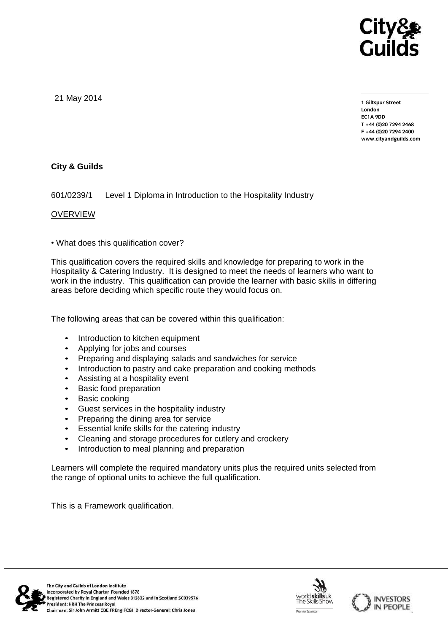

21 May 2014

**1 Giltspur Street EC1A 9DD** T +44 (0) 20 7 294 2468 **T +44 (0)20 7294 2468 F +44 (0)20 7294 2400 [www.cityandguilds.com](http://www.cityandguilds.com/)**

# **City & Guilds**

601/0239/1 Level 1 Diploma in Introduction to the Hospitality Industry

### **OVERVIEW**

• What does this qualification cover?

This qualification covers the required skills and knowledge for preparing to work in the Hospitality & Catering Industry. It is designed to meet the needs of learners who want to work in the industry. This qualification can provide the learner with basic skills in differing areas before deciding which specific route they would focus on.

The following areas that can be covered within this qualification:

- Introduction to kitchen equipment
- Applying for jobs and courses
- Preparing and displaying salads and sandwiches for service
- Introduction to pastry and cake preparation and cooking methods
- Assisting at a hospitality event
- **Basic food preparation**
- Basic cooking
- Guest services in the hospitality industry
- Preparing the dining area for service
- Essential knife skills for the catering industry
- Cleaning and storage procedures for cutlery and crockery
- Introduction to meal planning and preparation

Learners will complete the required mandatory units plus the required units selected from the range of optional units to achieve the full qualification.

This is a Framework qualification.